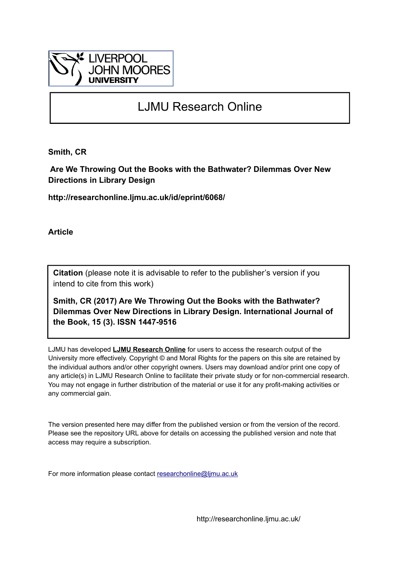

# LJMU Research Online

**Smith, CR**

 **Are We Throwing Out the Books with the Bathwater? Dilemmas Over New Directions in Library Design**

**http://researchonline.ljmu.ac.uk/id/eprint/6068/**

**Article**

**Citation** (please note it is advisable to refer to the publisher's version if you intend to cite from this work)

**Smith, CR (2017) Are We Throwing Out the Books with the Bathwater? Dilemmas Over New Directions in Library Design. International Journal of the Book, 15 (3). ISSN 1447-9516** 

LJMU has developed **[LJMU Research Online](http://researchonline.ljmu.ac.uk/)** for users to access the research output of the University more effectively. Copyright © and Moral Rights for the papers on this site are retained by the individual authors and/or other copyright owners. Users may download and/or print one copy of any article(s) in LJMU Research Online to facilitate their private study or for non-commercial research. You may not engage in further distribution of the material or use it for any profit-making activities or any commercial gain.

The version presented here may differ from the published version or from the version of the record. Please see the repository URL above for details on accessing the published version and note that access may require a subscription.

For more information please contact [researchonline@ljmu.ac.uk](mailto:researchonline@ljmu.ac.uk)

http://researchonline.ljmu.ac.uk/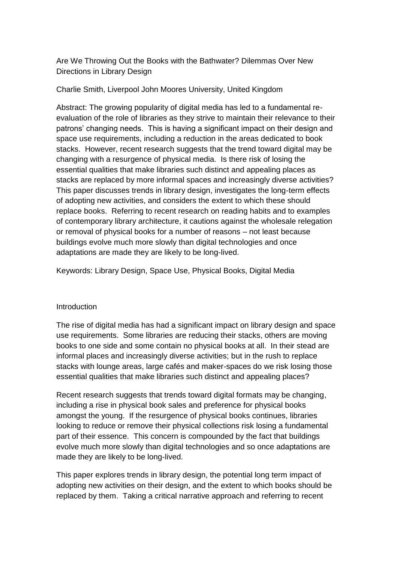Are We Throwing Out the Books with the Bathwater? Dilemmas Over New Directions in Library Design

### Charlie Smith, Liverpool John Moores University, United Kingdom

Abstract: The growing popularity of digital media has led to a fundamental reevaluation of the role of libraries as they strive to maintain their relevance to their patrons' changing needs. This is having a significant impact on their design and space use requirements, including a reduction in the areas dedicated to book stacks. However, recent research suggests that the trend toward digital may be changing with a resurgence of physical media. Is there risk of losing the essential qualities that make libraries such distinct and appealing places as stacks are replaced by more informal spaces and increasingly diverse activities? This paper discusses trends in library design, investigates the long-term effects of adopting new activities, and considers the extent to which these should replace books. Referring to recent research on reading habits and to examples of contemporary library architecture, it cautions against the wholesale relegation or removal of physical books for a number of reasons – not least because buildings evolve much more slowly than digital technologies and once adaptations are made they are likely to be long-lived.

Keywords: Library Design, Space Use, Physical Books, Digital Media

### **Introduction**

The rise of digital media has had a significant impact on library design and space use requirements. Some libraries are reducing their stacks, others are moving books to one side and some contain no physical books at all. In their stead are informal places and increasingly diverse activities; but in the rush to replace stacks with lounge areas, large cafés and maker-spaces do we risk losing those essential qualities that make libraries such distinct and appealing places?

Recent research suggests that trends toward digital formats may be changing, including a rise in physical book sales and preference for physical books amongst the young. If the resurgence of physical books continues, libraries looking to reduce or remove their physical collections risk losing a fundamental part of their essence. This concern is compounded by the fact that buildings evolve much more slowly than digital technologies and so once adaptations are made they are likely to be long-lived.

This paper explores trends in library design, the potential long term impact of adopting new activities on their design, and the extent to which books should be replaced by them. Taking a critical narrative approach and referring to recent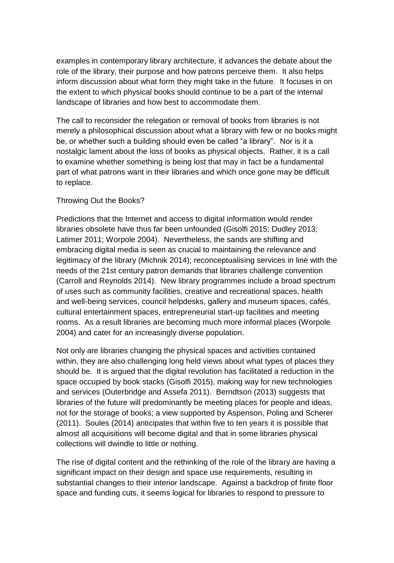examples in contemporary library architecture, it advances the debate about the role of the library, their purpose and how patrons perceive them. It also helps inform discussion about what form they might take in the future. It focuses in on the extent to which physical books should continue to be a part of the internal landscape of libraries and how best to accommodate them.

The call to reconsider the relegation or removal of books from libraries is not merely a philosophical discussion about what a library with few or no books might be, or whether such a building should even be called "a library". Nor is it a nostalgic lament about the loss of books as physical objects. Rather, it is a call to examine whether something is being lost that may in fact be a fundamental part of what patrons want in their libraries and which once gone may be difficult to replace.

## Throwing Out the Books?

Predictions that the Internet and access to digital information would render libraries obsolete have thus far been unfounded (Gisolfi 2015; Dudley 2013; Latimer 2011; Worpole 2004). Nevertheless, the sands are shifting and embracing digital media is seen as crucial to maintaining the relevance and legitimacy of the library (Michnik 2014); reconceptualising services in line with the needs of the 21st century patron demands that libraries challenge convention (Carroll and Reynolds 2014). New library programmes include a broad spectrum of uses such as community facilities, creative and recreational spaces, health and well-being services, council helpdesks, gallery and museum spaces, cafés, cultural entertainment spaces, entrepreneurial start-up facilities and meeting rooms. As a result libraries are becoming much more informal places (Worpole 2004) and cater for an increasingly diverse population.

Not only are libraries changing the physical spaces and activities contained within, they are also challenging long held views about what types of places they should be. It is argued that the digital revolution has facilitated a reduction in the space occupied by book stacks (Gisolfi 2015), making way for new technologies and services (Outerbridge and Assefa 2011). Berndtson (2013) suggests that libraries of the future will predominantly be meeting places for people and ideas, not for the storage of books; a view supported by Aspenson, Poling and Scherer (2011). Soules (2014) anticipates that within five to ten years it is possible that almost all acquisitions will become digital and that in some libraries physical collections will dwindle to little or nothing.

The rise of digital content and the rethinking of the role of the library are having a significant impact on their design and space use requirements, resulting in substantial changes to their interior landscape. Against a backdrop of finite floor space and funding cuts, it seems logical for libraries to respond to pressure to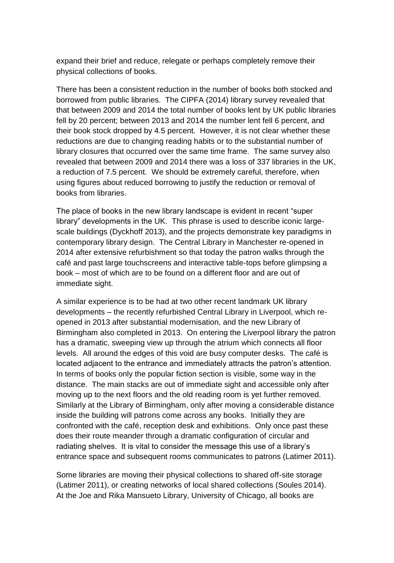expand their brief and reduce, relegate or perhaps completely remove their physical collections of books.

There has been a consistent reduction in the number of books both stocked and borrowed from public libraries. The CIPFA (2014) library survey revealed that that between 2009 and 2014 the total number of books lent by UK public libraries fell by 20 percent; between 2013 and 2014 the number lent fell 6 percent, and their book stock dropped by 4.5 percent. However, it is not clear whether these reductions are due to changing reading habits or to the substantial number of library closures that occurred over the same time frame. The same survey also revealed that between 2009 and 2014 there was a loss of 337 libraries in the UK, a reduction of 7.5 percent. We should be extremely careful, therefore, when using figures about reduced borrowing to justify the reduction or removal of books from libraries.

The place of books in the new library landscape is evident in recent "super library" developments in the UK. This phrase is used to describe iconic largescale buildings (Dyckhoff 2013), and the projects demonstrate key paradigms in contemporary library design. The Central Library in Manchester re-opened in 2014 after extensive refurbishment so that today the patron walks through the café and past large touchscreens and interactive table-tops before glimpsing a book – most of which are to be found on a different floor and are out of immediate sight.

A similar experience is to be had at two other recent landmark UK library developments – the recently refurbished Central Library in Liverpool, which reopened in 2013 after substantial modernisation, and the new Library of Birmingham also completed in 2013. On entering the Liverpool library the patron has a dramatic, sweeping view up through the atrium which connects all floor levels. All around the edges of this void are busy computer desks. The café is located adjacent to the entrance and immediately attracts the patron's attention. In terms of books only the popular fiction section is visible, some way in the distance. The main stacks are out of immediate sight and accessible only after moving up to the next floors and the old reading room is yet further removed. Similarly at the Library of Birmingham, only after moving a considerable distance inside the building will patrons come across any books. Initially they are confronted with the café, reception desk and exhibitions. Only once past these does their route meander through a dramatic configuration of circular and radiating shelves. It is vital to consider the message this use of a library's entrance space and subsequent rooms communicates to patrons (Latimer 2011).

Some libraries are moving their physical collections to shared off-site storage (Latimer 2011), or creating networks of local shared collections (Soules 2014). At the Joe and Rika Mansueto Library, University of Chicago, all books are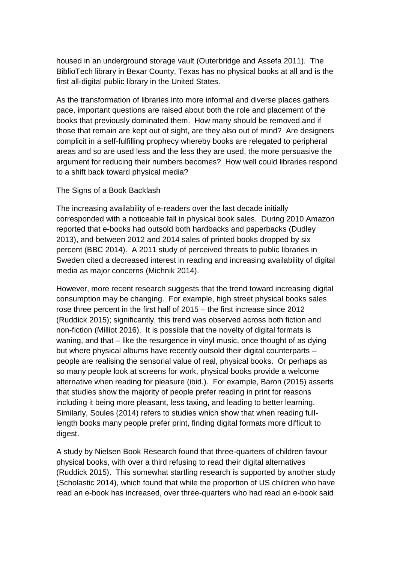housed in an underground storage vault (Outerbridge and Assefa 2011). The BiblioTech library in Bexar County, Texas has no physical books at all and is the first all-digital public library in the United States.

As the transformation of libraries into more informal and diverse places gathers pace, important questions are raised about both the role and placement of the books that previously dominated them. How many should be removed and if those that remain are kept out of sight, are they also out of mind? Are designers complicit in a self-fulfilling prophecy whereby books are relegated to peripheral areas and so are used less and the less they are used, the more persuasive the argument for reducing their numbers becomes? How well could libraries respond to a shift back toward physical media?

### The Signs of a Book Backlash

The increasing availability of e-readers over the last decade initially corresponded with a noticeable fall in physical book sales. During 2010 Amazon reported that e-books had outsold both hardbacks and paperbacks (Dudley 2013), and between 2012 and 2014 sales of printed books dropped by six percent (BBC 2014). A 2011 study of perceived threats to public libraries in Sweden cited a decreased interest in reading and increasing availability of digital media as major concerns (Michnik 2014).

However, more recent research suggests that the trend toward increasing digital consumption may be changing. For example, high street physical books sales rose three percent in the first half of 2015 – the first increase since 2012 (Ruddick 2015); significantly, this trend was observed across both fiction and non-fiction (Milliot 2016). It is possible that the novelty of digital formats is waning, and that – like the resurgence in vinyl music, once thought of as dying but where physical albums have recently outsold their digital counterparts – people are realising the sensorial value of real, physical books. Or perhaps as so many people look at screens for work, physical books provide a welcome alternative when reading for pleasure (ibid.). For example, Baron (2015) asserts that studies show the majority of people prefer reading in print for reasons including it being more pleasant, less taxing, and leading to better learning. Similarly, Soules (2014) refers to studies which show that when reading fulllength books many people prefer print, finding digital formats more difficult to digest.

A study by Nielsen Book Research found that three-quarters of children favour physical books, with over a third refusing to read their digital alternatives (Ruddick 2015). This somewhat startling research is supported by another study (Scholastic 2014), which found that while the proportion of US children who have read an e-book has increased, over three-quarters who had read an e-book said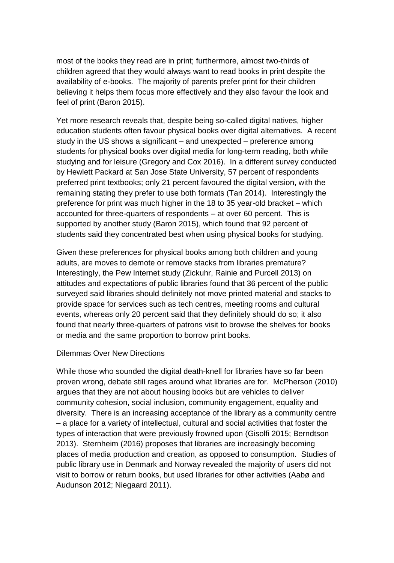most of the books they read are in print; furthermore, almost two-thirds of children agreed that they would always want to read books in print despite the availability of e-books. The majority of parents prefer print for their children believing it helps them focus more effectively and they also favour the look and feel of print (Baron 2015).

Yet more research reveals that, despite being so-called digital natives, higher education students often favour physical books over digital alternatives. A recent study in the US shows a significant – and unexpected – preference among students for physical books over digital media for long-term reading, both while studying and for leisure (Gregory and Cox 2016). In a different survey conducted by Hewlett Packard at San Jose State University, 57 percent of respondents preferred print textbooks; only 21 percent favoured the digital version, with the remaining stating they prefer to use both formats (Tan 2014). Interestingly the preference for print was much higher in the 18 to 35 year-old bracket – which accounted for three-quarters of respondents – at over 60 percent. This is supported by another study (Baron 2015), which found that 92 percent of students said they concentrated best when using physical books for studying.

Given these preferences for physical books among both children and young adults, are moves to demote or remove stacks from libraries premature? Interestingly, the Pew Internet study (Zickuhr, Rainie and Purcell 2013) on attitudes and expectations of public libraries found that 36 percent of the public surveyed said libraries should definitely not move printed material and stacks to provide space for services such as tech centres, meeting rooms and cultural events, whereas only 20 percent said that they definitely should do so; it also found that nearly three-quarters of patrons visit to browse the shelves for books or media and the same proportion to borrow print books.

#### Dilemmas Over New Directions

While those who sounded the digital death-knell for libraries have so far been proven wrong, debate still rages around what libraries are for. McPherson (2010) argues that they are not about housing books but are vehicles to deliver community cohesion, social inclusion, community engagement, equality and diversity. There is an increasing acceptance of the library as a community centre – a place for a variety of intellectual, cultural and social activities that foster the types of interaction that were previously frowned upon (Gisolfi 2015; Berndtson 2013). Sternheim (2016) proposes that libraries are increasingly becoming places of media production and creation, as opposed to consumption. Studies of public library use in Denmark and Norway revealed the majority of users did not visit to borrow or return books, but used libraries for other activities (Aabø and Audunson 2012; Niegaard 2011).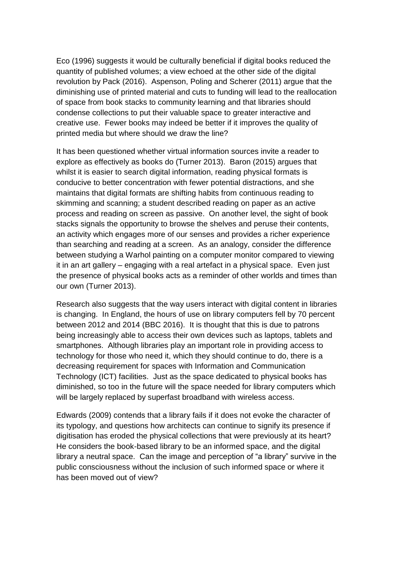Eco (1996) suggests it would be culturally beneficial if digital books reduced the quantity of published volumes; a view echoed at the other side of the digital revolution by Pack (2016). Aspenson, Poling and Scherer (2011) argue that the diminishing use of printed material and cuts to funding will lead to the reallocation of space from book stacks to community learning and that libraries should condense collections to put their valuable space to greater interactive and creative use. Fewer books may indeed be better if it improves the quality of printed media but where should we draw the line?

It has been questioned whether virtual information sources invite a reader to explore as effectively as books do (Turner 2013). Baron (2015) argues that whilst it is easier to search digital information, reading physical formats is conducive to better concentration with fewer potential distractions, and she maintains that digital formats are shifting habits from continuous reading to skimming and scanning; a student described reading on paper as an active process and reading on screen as passive. On another level, the sight of book stacks signals the opportunity to browse the shelves and peruse their contents, an activity which engages more of our senses and provides a richer experience than searching and reading at a screen. As an analogy, consider the difference between studying a Warhol painting on a computer monitor compared to viewing it in an art gallery – engaging with a real artefact in a physical space. Even just the presence of physical books acts as a reminder of other worlds and times than our own (Turner 2013).

Research also suggests that the way users interact with digital content in libraries is changing. In England, the hours of use on library computers fell by 70 percent between 2012 and 2014 (BBC 2016). It is thought that this is due to patrons being increasingly able to access their own devices such as laptops, tablets and smartphones. Although libraries play an important role in providing access to technology for those who need it, which they should continue to do, there is a decreasing requirement for spaces with Information and Communication Technology (ICT) facilities. Just as the space dedicated to physical books has diminished, so too in the future will the space needed for library computers which will be largely replaced by superfast broadband with wireless access.

Edwards (2009) contends that a library fails if it does not evoke the character of its typology, and questions how architects can continue to signify its presence if digitisation has eroded the physical collections that were previously at its heart? He considers the book-based library to be an informed space, and the digital library a neutral space. Can the image and perception of "a library" survive in the public consciousness without the inclusion of such informed space or where it has been moved out of view?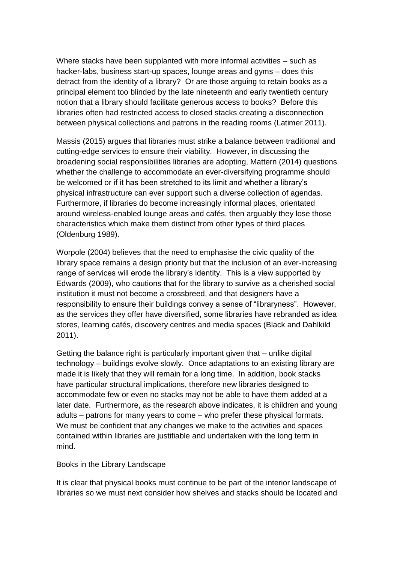Where stacks have been supplanted with more informal activities – such as hacker-labs, business start-up spaces, lounge areas and gyms – does this detract from the identity of a library? Or are those arguing to retain books as a principal element too blinded by the late nineteenth and early twentieth century notion that a library should facilitate generous access to books? Before this libraries often had restricted access to closed stacks creating a disconnection between physical collections and patrons in the reading rooms (Latimer 2011).

Massis (2015) argues that libraries must strike a balance between traditional and cutting-edge services to ensure their viability. However, in discussing the broadening social responsibilities libraries are adopting, Mattern (2014) questions whether the challenge to accommodate an ever-diversifying programme should be welcomed or if it has been stretched to its limit and whether a library's physical infrastructure can ever support such a diverse collection of agendas. Furthermore, if libraries do become increasingly informal places, orientated around wireless-enabled lounge areas and cafés, then arguably they lose those characteristics which make them distinct from other types of third places (Oldenburg 1989).

Worpole (2004) believes that the need to emphasise the civic quality of the library space remains a design priority but that the inclusion of an ever-increasing range of services will erode the library's identity. This is a view supported by Edwards (2009), who cautions that for the library to survive as a cherished social institution it must not become a crossbreed, and that designers have a responsibility to ensure their buildings convey a sense of "libraryness". However, as the services they offer have diversified, some libraries have rebranded as idea stores, learning cafés, discovery centres and media spaces (Black and Dahlkild 2011).

Getting the balance right is particularly important given that – unlike digital technology – buildings evolve slowly. Once adaptations to an existing library are made it is likely that they will remain for a long time. In addition, book stacks have particular structural implications, therefore new libraries designed to accommodate few or even no stacks may not be able to have them added at a later date. Furthermore, as the research above indicates, it is children and young adults – patrons for many years to come – who prefer these physical formats. We must be confident that any changes we make to the activities and spaces contained within libraries are justifiable and undertaken with the long term in mind.

#### Books in the Library Landscape

It is clear that physical books must continue to be part of the interior landscape of libraries so we must next consider how shelves and stacks should be located and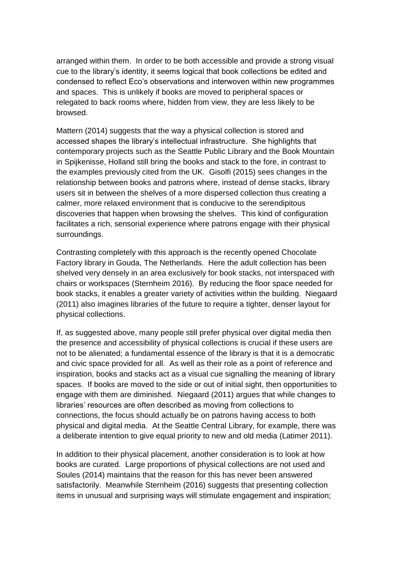arranged within them. In order to be both accessible and provide a strong visual cue to the library's identity, it seems logical that book collections be edited and condensed to reflect Eco's observations and interwoven within new programmes and spaces. This is unlikely if books are moved to peripheral spaces or relegated to back rooms where, hidden from view, they are less likely to be browsed.

Mattern (2014) suggests that the way a physical collection is stored and accessed shapes the library's intellectual infrastructure. She highlights that contemporary projects such as the Seattle Public Library and the Book Mountain in Spijkenisse, Holland still bring the books and stack to the fore, in contrast to the examples previously cited from the UK. Gisolfi (2015) sees changes in the relationship between books and patrons where, instead of dense stacks, library users sit in between the shelves of a more dispersed collection thus creating a calmer, more relaxed environment that is conducive to the serendipitous discoveries that happen when browsing the shelves. This kind of configuration facilitates a rich, sensorial experience where patrons engage with their physical surroundings.

Contrasting completely with this approach is the recently opened Chocolate Factory library in Gouda, The Netherlands. Here the adult collection has been shelved very densely in an area exclusively for book stacks, not interspaced with chairs or workspaces (Sternheim 2016). By reducing the floor space needed for book stacks, it enables a greater variety of activities within the building. Niegaard (2011) also imagines libraries of the future to require a tighter, denser layout for physical collections.

If, as suggested above, many people still prefer physical over digital media then the presence and accessibility of physical collections is crucial if these users are not to be alienated; a fundamental essence of the library is that it is a democratic and civic space provided for all. As well as their role as a point of reference and inspiration, books and stacks act as a visual cue signalling the meaning of library spaces. If books are moved to the side or out of initial sight, then opportunities to engage with them are diminished. Niegaard (2011) argues that while changes to libraries' resources are often described as moving from collections to connections, the focus should actually be on patrons having access to both physical and digital media. At the Seattle Central Library, for example, there was a deliberate intention to give equal priority to new and old media (Latimer 2011).

In addition to their physical placement, another consideration is to look at how books are curated. Large proportions of physical collections are not used and Soules (2014) maintains that the reason for this has never been answered satisfactorily. Meanwhile Sternheim (2016) suggests that presenting collection items in unusual and surprising ways will stimulate engagement and inspiration;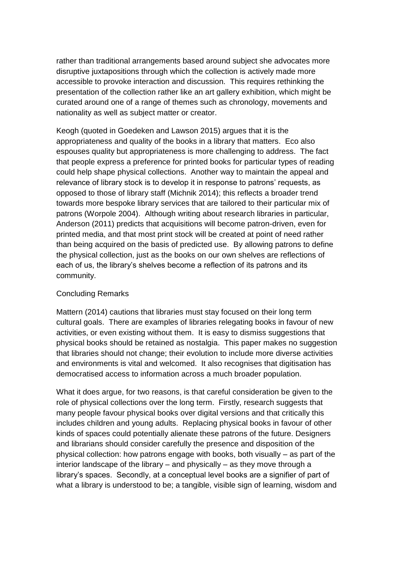rather than traditional arrangements based around subject she advocates more disruptive juxtapositions through which the collection is actively made more accessible to provoke interaction and discussion. This requires rethinking the presentation of the collection rather like an art gallery exhibition, which might be curated around one of a range of themes such as chronology, movements and nationality as well as subject matter or creator.

Keogh (quoted in Goedeken and Lawson 2015) argues that it is the appropriateness and quality of the books in a library that matters. Eco also espouses quality but appropriateness is more challenging to address. The fact that people express a preference for printed books for particular types of reading could help shape physical collections. Another way to maintain the appeal and relevance of library stock is to develop it in response to patrons' requests, as opposed to those of library staff (Michnik 2014); this reflects a broader trend towards more bespoke library services that are tailored to their particular mix of patrons (Worpole 2004). Although writing about research libraries in particular, Anderson (2011) predicts that acquisitions will become patron-driven, even for printed media, and that most print stock will be created at point of need rather than being acquired on the basis of predicted use. By allowing patrons to define the physical collection, just as the books on our own shelves are reflections of each of us, the library's shelves become a reflection of its patrons and its community.

## Concluding Remarks

Mattern (2014) cautions that libraries must stay focused on their long term cultural goals. There are examples of libraries relegating books in favour of new activities, or even existing without them. It is easy to dismiss suggestions that physical books should be retained as nostalgia. This paper makes no suggestion that libraries should not change; their evolution to include more diverse activities and environments is vital and welcomed. It also recognises that digitisation has democratised access to information across a much broader population.

What it does argue, for two reasons, is that careful consideration be given to the role of physical collections over the long term. Firstly, research suggests that many people favour physical books over digital versions and that critically this includes children and young adults. Replacing physical books in favour of other kinds of spaces could potentially alienate these patrons of the future. Designers and librarians should consider carefully the presence and disposition of the physical collection: how patrons engage with books, both visually – as part of the interior landscape of the library – and physically – as they move through a library's spaces. Secondly, at a conceptual level books are a signifier of part of what a library is understood to be; a tangible, visible sign of learning, wisdom and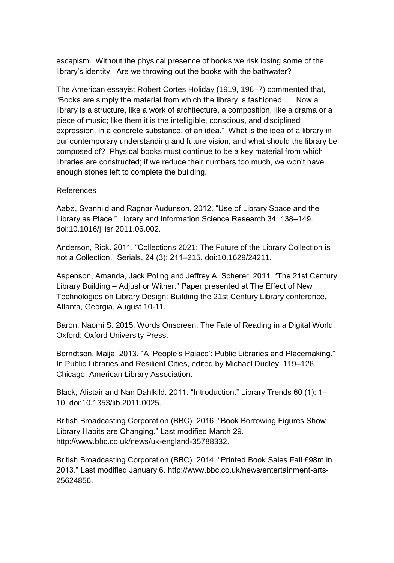escapism. Without the physical presence of books we risk losing some of the library's identity. Are we throwing out the books with the bathwater?

The American essayist Robert Cortes Holiday (1919, 196–7) commented that, "Books are simply the material from which the library is fashioned … Now a library is a structure, like a work of architecture, a composition, like a drama or a piece of music; like them it is the intelligible, conscious, and disciplined expression, in a concrete substance, of an idea." What is the idea of a library in our contemporary understanding and future vision, and what should the library be composed of? Physical books must continue to be a key material from which libraries are constructed; if we reduce their numbers too much, we won't have enough stones left to complete the building.

### References

Aabø, Svanhild and Ragnar Audunson. 2012. "Use of Library Space and the Library as Place." Library and Information Science Research 34: 138–149. doi:10.1016/j.lisr.2011.06.002.

Anderson, Rick. 2011. "Collections 2021: The Future of the Library Collection is not a Collection." Serials, 24 (3): 211–215. doi:10.1629/24211.

Aspenson, Amanda, Jack Poling and Jeffrey A. Scherer. 2011. "The 21st Century Library Building – Adjust or Wither." Paper presented at The Effect of New Technologies on Library Design: Building the 21st Century Library conference, Atlanta, Georgia, August 10-11.

Baron, Naomi S. 2015. Words Onscreen: The Fate of Reading in a Digital World. Oxford: Oxford University Press.

Berndtson, Maija. 2013. "A 'People's Palace': Public Libraries and Placemaking." In Public Libraries and Resilient Cities, edited by Michael Dudley, 119–126. Chicago: American Library Association.

Black, Alistair and Nan Dahlkild. 2011. "Introduction." Library Trends 60 (1): 1– 10. doi:10.1353/lib.2011.0025.

British Broadcasting Corporation (BBC). 2016. "Book Borrowing Figures Show Library Habits are Changing." Last modified March 29. http://www.bbc.co.uk/news/uk-england-35788332.

British Broadcasting Corporation (BBC). 2014. "Printed Book Sales Fall £98m in 2013." Last modified January 6. http://www.bbc.co.uk/news/entertainment-arts-25624856.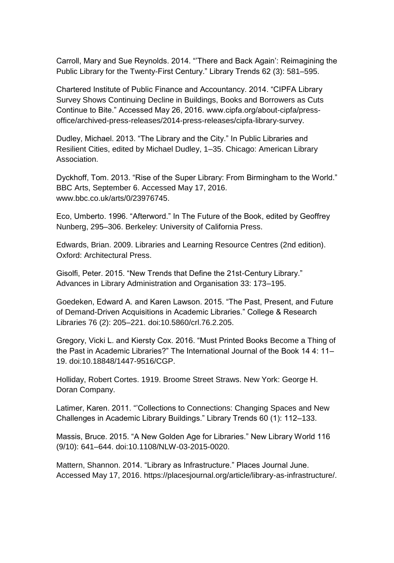Carroll, Mary and Sue Reynolds. 2014. "'There and Back Again': Reimagining the Public Library for the Twenty-First Century." Library Trends 62 (3): 581–595.

Chartered Institute of Public Finance and Accountancy. 2014. "CIPFA Library Survey Shows Continuing Decline in Buildings, Books and Borrowers as Cuts Continue to Bite." Accessed May 26, 2016. www.cipfa.org/about-cipfa/pressoffice/archived-press-releases/2014-press-releases/cipfa-library-survey.

Dudley, Michael. 2013. "The Library and the City." In Public Libraries and Resilient Cities, edited by Michael Dudley, 1–35. Chicago: American Library Association.

Dyckhoff, Tom. 2013. "Rise of the Super Library: From Birmingham to the World." BBC Arts, September 6. Accessed May 17, 2016. www.bbc.co.uk/arts/0/23976745.

Eco, Umberto. 1996. "Afterword." In The Future of the Book, edited by Geoffrey Nunberg, 295–306. Berkeley: University of California Press.

Edwards, Brian. 2009. Libraries and Learning Resource Centres (2nd edition). Oxford: Architectural Press.

Gisolfi, Peter. 2015. "New Trends that Define the 21st-Century Library." Advances in Library Administration and Organisation 33: 173–195.

Goedeken, Edward A. and Karen Lawson. 2015. "The Past, Present, and Future of Demand-Driven Acquisitions in Academic Libraries." College & Research Libraries 76 (2): 205–221. doi:10.5860/crl.76.2.205.

Gregory, Vicki L. and Kiersty Cox. 2016. "Must Printed Books Become a Thing of the Past in Academic Libraries?" The International Journal of the Book 14 4: 11– 19. doi:10.18848/1447-9516/CGP.

Holliday, Robert Cortes. 1919. Broome Street Straws. New York: George H. Doran Company.

Latimer, Karen. 2011. "'Collections to Connections: Changing Spaces and New Challenges in Academic Library Buildings." Library Trends 60 (1): 112–133.

Massis, Bruce. 2015. "A New Golden Age for Libraries." New Library World 116 (9/10): 641–644. doi:10.1108/NLW-03-2015-0020.

Mattern, Shannon. 2014. "Library as Infrastructure." Places Journal June. Accessed May 17, 2016. https://placesjournal.org/article/library-as-infrastructure/.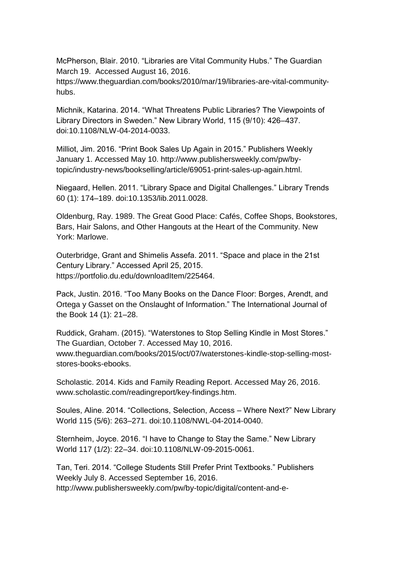McPherson, Blair. 2010. "Libraries are Vital Community Hubs." The Guardian March 19. Accessed August 16, 2016. https://www.theguardian.com/books/2010/mar/19/libraries-are-vital-community-

hubs.

Michnik, Katarina. 2014. "What Threatens Public Libraries? The Viewpoints of Library Directors in Sweden." New Library World, 115 (9/10): 426–437. doi:10.1108/NLW-04-2014-0033.

Milliot, Jim. 2016. "Print Book Sales Up Again in 2015." Publishers Weekly January 1. Accessed May 10. http://www.publishersweekly.com/pw/bytopic/industry-news/bookselling/article/69051-print-sales-up-again.html.

Niegaard, Hellen. 2011. "Library Space and Digital Challenges." Library Trends 60 (1): 174–189. doi:10.1353/lib.2011.0028.

Oldenburg, Ray. 1989. The Great Good Place: Cafés, Coffee Shops, Bookstores, Bars, Hair Salons, and Other Hangouts at the Heart of the Community. New York: Marlowe.

Outerbridge, Grant and Shimelis Assefa. 2011. "Space and place in the 21st Century Library." Accessed April 25, 2015. https://portfolio.du.edu/downloadItem/225464.

Pack, Justin. 2016. "Too Many Books on the Dance Floor: Borges, Arendt, and Ortega y Gasset on the Onslaught of Information." The International Journal of the Book 14 (1): 21–28.

Ruddick, Graham. (2015). "Waterstones to Stop Selling Kindle in Most Stores." The Guardian, October 7. Accessed May 10, 2016. www.theguardian.com/books/2015/oct/07/waterstones-kindle-stop-selling-moststores-books-ebooks.

Scholastic. 2014. Kids and Family Reading Report. Accessed May 26, 2016. www.scholastic.com/readingreport/key-findings.htm.

Soules, Aline. 2014. "Collections, Selection, Access – Where Next?" New Library World 115 (5/6): 263–271. doi:10.1108/NWL-04-2014-0040.

Sternheim, Joyce. 2016. "I have to Change to Stay the Same." New Library World 117 (1/2): 22–34. doi:10.1108/NLW-09-2015-0061.

Tan, Teri. 2014. "College Students Still Prefer Print Textbooks." Publishers Weekly July 8. Accessed September 16, 2016. http://www.publishersweekly.com/pw/by-topic/digital/content-and-e-